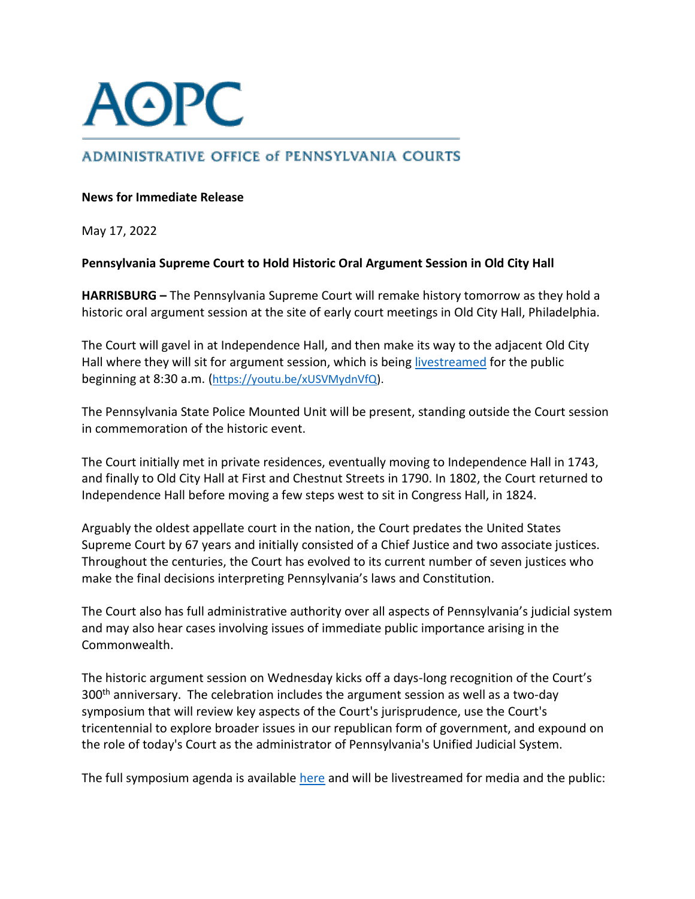

# **ADMINISTRATIVE OFFICE of PENNSYLVANIA COURTS**

## **News for Immediate Release**

May 17, 2022

## **Pennsylvania Supreme Court to Hold Historic Oral Argument Session in Old City Hall**

**HARRISBURG –** The Pennsylvania Supreme Court will remake history tomorrow as they hold a historic oral argument session at the site of early court meetings in Old City Hall, Philadelphia.

The Court will gavel in at Independence Hall, and then make its way to the adjacent Old City Hall where they will sit for argument session, which is being [livestreamed](https://youtu.be/xUSVMydnVfQ) for the public beginning at 8:30 a.m. ([https://youtu.be/xUSVMydnVfQ\)](https://youtu.be/xUSVMydnVfQ).

The Pennsylvania State Police Mounted Unit will be present, standing outside the Court session in commemoration of the historic event.

The Court initially met in private residences, eventually moving to Independence Hall in 1743, and finally to Old City Hall at First and Chestnut Streets in 1790. In 1802, the Court returned to Independence Hall before moving a few steps west to sit in Congress Hall, in 1824.

Arguably the oldest appellate court in the nation, the Court predates the United States Supreme Court by 67 years and initially consisted of a Chief Justice and two associate justices. Throughout the centuries, the Court has evolved to its current number of seven justices who make the final decisions interpreting Pennsylvania's laws and Constitution.

The Court also has full administrative authority over all aspects of Pennsylvania's judicial system and may also hear cases involving issues of immediate public importance arising in the Commonwealth.

The historic argument session on Wednesday kicks off a days-long recognition of the Court's 300<sup>th</sup> anniversary. The celebration includes the argument session as well as a two-day symposium that will review key aspects of the Court's jurisprudence, use the Court's tricentennial to explore broader issues in our republican form of government, and expound on the role of today's Court as the administrator of Pennsylvania's Unified Judicial System.

The full symposium agenda is available [here](https://www.pacourts.us/Storage/media/pdfs/20220505/164609-supreme300agenda.pdf) and will be livestreamed for media and the public: